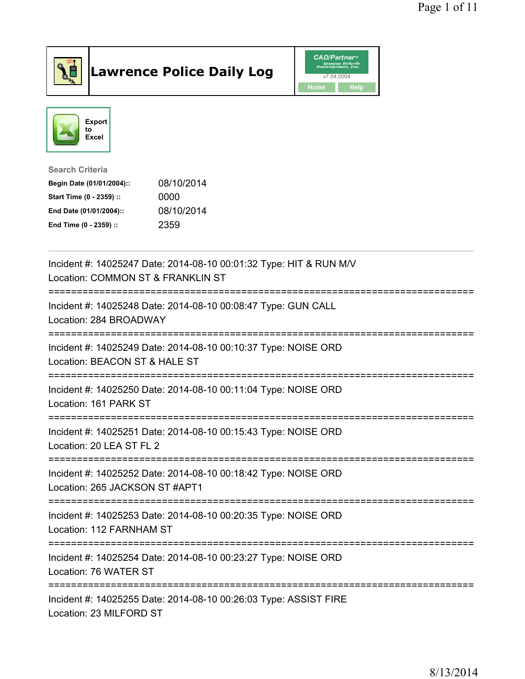

## Lawrence Police Daily Log Value of the CAD/Partner





Search Criteria

| Begin Date (01/01/2004):: | 08/10/2014 |
|---------------------------|------------|
| Start Time (0 - 2359) ::  | 0000       |
| End Date (01/01/2004)::   | 08/10/2014 |
| End Time (0 - 2359) ::    | 2359       |

| Incident #: 14025247 Date: 2014-08-10 00:01:32 Type: HIT & RUN M/V<br>Location: COMMON ST & FRANKLIN ST                               |
|---------------------------------------------------------------------------------------------------------------------------------------|
| Incident #: 14025248 Date: 2014-08-10 00:08:47 Type: GUN CALL<br>Location: 284 BROADWAY                                               |
| Incident #: 14025249 Date: 2014-08-10 00:10:37 Type: NOISE ORD<br>Location: BEACON ST & HALE ST<br>;================================= |
| Incident #: 14025250 Date: 2014-08-10 00:11:04 Type: NOISE ORD<br>Location: 161 PARK ST<br>---------------                            |
| Incident #: 14025251 Date: 2014-08-10 00:15:43 Type: NOISE ORD<br>Location: 20 LEA ST FL 2                                            |
| Incident #: 14025252 Date: 2014-08-10 00:18:42 Type: NOISE ORD<br>Location: 265 JACKSON ST #APT1                                      |
| Incident #: 14025253 Date: 2014-08-10 00:20:35 Type: NOISE ORD<br>Location: 112 FARNHAM ST                                            |
| Incident #: 14025254 Date: 2014-08-10 00:23:27 Type: NOISE ORD<br>Location: 76 WATER ST                                               |
| Incident #: 14025255 Date: 2014-08-10 00:26:03 Type: ASSIST FIRE<br>Location: 23 MILFORD ST                                           |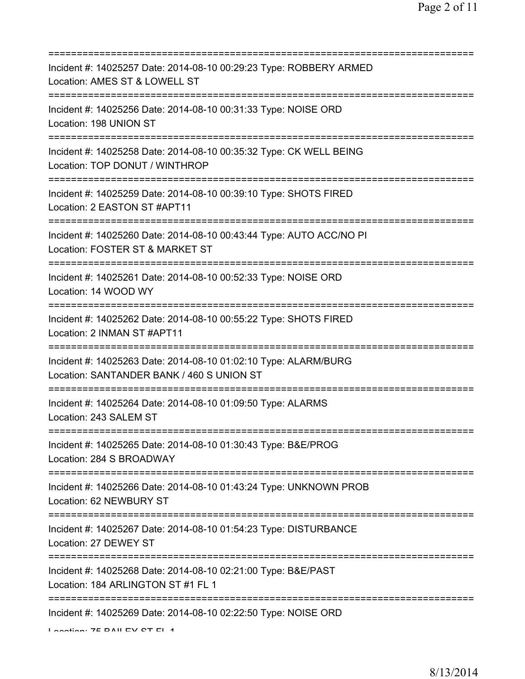| Incident #: 14025257 Date: 2014-08-10 00:29:23 Type: ROBBERY ARMED<br>Location: AMES ST & LOWELL ST                               |
|-----------------------------------------------------------------------------------------------------------------------------------|
| Incident #: 14025256 Date: 2014-08-10 00:31:33 Type: NOISE ORD<br>Location: 198 UNION ST                                          |
| Incident #: 14025258 Date: 2014-08-10 00:35:32 Type: CK WELL BEING<br>Location: TOP DONUT / WINTHROP                              |
| Incident #: 14025259 Date: 2014-08-10 00:39:10 Type: SHOTS FIRED<br>Location: 2 EASTON ST #APT11                                  |
| ======================<br>Incident #: 14025260 Date: 2014-08-10 00:43:44 Type: AUTO ACC/NO PI<br>Location: FOSTER ST & MARKET ST  |
| Incident #: 14025261 Date: 2014-08-10 00:52:33 Type: NOISE ORD<br>Location: 14 WOOD WY                                            |
| ==============================<br>Incident #: 14025262 Date: 2014-08-10 00:55:22 Type: SHOTS FIRED<br>Location: 2 INMAN ST #APT11 |
| Incident #: 14025263 Date: 2014-08-10 01:02:10 Type: ALARM/BURG<br>Location: SANTANDER BANK / 460 S UNION ST                      |
| Incident #: 14025264 Date: 2014-08-10 01:09:50 Type: ALARMS<br>Location: 243 SALEM ST                                             |
| Incident #: 14025265 Date: 2014-08-10 01:30:43 Type: B&E/PROG<br>Location: 284 S BROADWAY                                         |
| Incident #: 14025266 Date: 2014-08-10 01:43:24 Type: UNKNOWN PROB<br>Location: 62 NEWBURY ST                                      |
| Incident #: 14025267 Date: 2014-08-10 01:54:23 Type: DISTURBANCE<br>Location: 27 DEWEY ST                                         |
| Incident #: 14025268 Date: 2014-08-10 02:21:00 Type: B&E/PAST<br>Location: 184 ARLINGTON ST #1 FL 1                               |
| Incident #: 14025269 Date: 2014-08-10 02:22:50 Type: NOISE ORD<br>I coofian: 7E DAII EV CT EI 4                                   |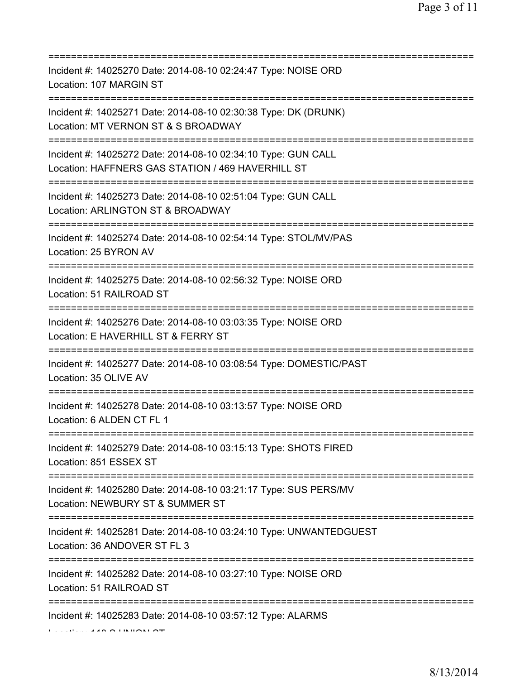| Incident #: 14025270 Date: 2014-08-10 02:24:47 Type: NOISE ORD<br>Location: 107 MARGIN ST<br>====================================                 |
|---------------------------------------------------------------------------------------------------------------------------------------------------|
| Incident #: 14025271 Date: 2014-08-10 02:30:38 Type: DK (DRUNK)<br>Location: MT VERNON ST & S BROADWAY                                            |
| Incident #: 14025272 Date: 2014-08-10 02:34:10 Type: GUN CALL<br>Location: HAFFNERS GAS STATION / 469 HAVERHILL ST                                |
| Incident #: 14025273 Date: 2014-08-10 02:51:04 Type: GUN CALL<br>Location: ARLINGTON ST & BROADWAY<br>=====================================       |
| Incident #: 14025274 Date: 2014-08-10 02:54:14 Type: STOL/MV/PAS<br>Location: 25 BYRON AV                                                         |
| Incident #: 14025275 Date: 2014-08-10 02:56:32 Type: NOISE ORD<br>Location: 51 RAILROAD ST                                                        |
| Incident #: 14025276 Date: 2014-08-10 03:03:35 Type: NOISE ORD<br>Location: E HAVERHILL ST & FERRY ST<br>======================<br>:============= |
| Incident #: 14025277 Date: 2014-08-10 03:08:54 Type: DOMESTIC/PAST<br>Location: 35 OLIVE AV                                                       |
| Incident #: 14025278 Date: 2014-08-10 03:13:57 Type: NOISE ORD<br>Location: 6 ALDEN CT FL 1                                                       |
| Incident #: 14025279 Date: 2014-08-10 03:15:13 Type: SHOTS FIRED<br>Location: 851 ESSEX ST                                                        |
| Incident #: 14025280 Date: 2014-08-10 03:21:17 Type: SUS PERS/MV<br>Location: NEWBURY ST & SUMMER ST                                              |
| Incident #: 14025281 Date: 2014-08-10 03:24:10 Type: UNWANTEDGUEST<br>Location: 36 ANDOVER ST FL 3<br>======================================      |
| Incident #: 14025282 Date: 2014-08-10 03:27:10 Type: NOISE ORD<br>Location: 51 RAILROAD ST                                                        |
| Incident #: 14025283 Date: 2014-08-10 03:57:12 Type: ALARMS                                                                                       |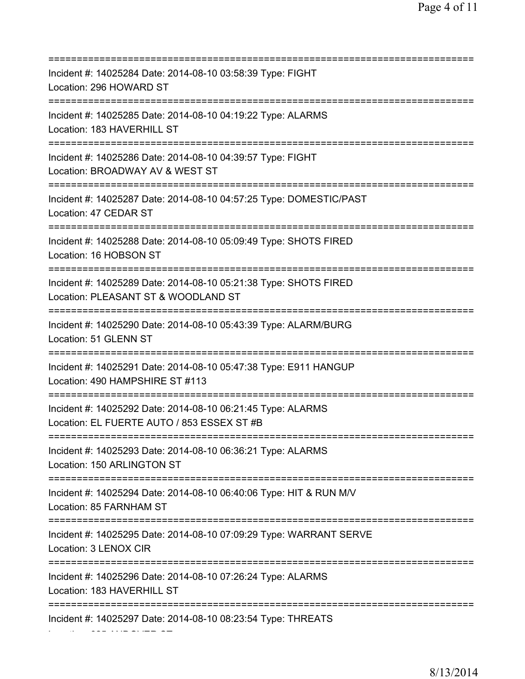| ============================                                                                                                         |
|--------------------------------------------------------------------------------------------------------------------------------------|
| Incident #: 14025284 Date: 2014-08-10 03:58:39 Type: FIGHT<br>Location: 296 HOWARD ST                                                |
| Incident #: 14025285 Date: 2014-08-10 04:19:22 Type: ALARMS<br>Location: 183 HAVERHILL ST                                            |
| Incident #: 14025286 Date: 2014-08-10 04:39:57 Type: FIGHT<br>Location: BROADWAY AV & WEST ST<br>:=================                  |
| Incident #: 14025287 Date: 2014-08-10 04:57:25 Type: DOMESTIC/PAST<br>Location: 47 CEDAR ST<br>===================================== |
| Incident #: 14025288 Date: 2014-08-10 05:09:49 Type: SHOTS FIRED<br>Location: 16 HOBSON ST<br>================================       |
| Incident #: 14025289 Date: 2014-08-10 05:21:38 Type: SHOTS FIRED<br>Location: PLEASANT ST & WOODLAND ST                              |
| Incident #: 14025290 Date: 2014-08-10 05:43:39 Type: ALARM/BURG<br>Location: 51 GLENN ST                                             |
| Incident #: 14025291 Date: 2014-08-10 05:47:38 Type: E911 HANGUP<br>Location: 490 HAMPSHIRE ST #113<br>:=========                    |
| Incident #: 14025292 Date: 2014-08-10 06:21:45 Type: ALARMS<br>Location: EL FUERTE AUTO / 853 ESSEX ST #B                            |
| Incident #: 14025293 Date: 2014-08-10 06:36:21 Type: ALARMS<br>Location: 150 ARLINGTON ST                                            |
| Incident #: 14025294 Date: 2014-08-10 06:40:06 Type: HIT & RUN M/V<br>Location: 85 FARNHAM ST                                        |
| Incident #: 14025295 Date: 2014-08-10 07:09:29 Type: WARRANT SERVE<br>Location: 3 LENOX CIR                                          |
| Incident #: 14025296 Date: 2014-08-10 07:26:24 Type: ALARMS<br>Location: 183 HAVERHILL ST                                            |
| :=========<br>Incident #: 14025297 Date: 2014-08-10 08:23:54 Type: THREATS                                                           |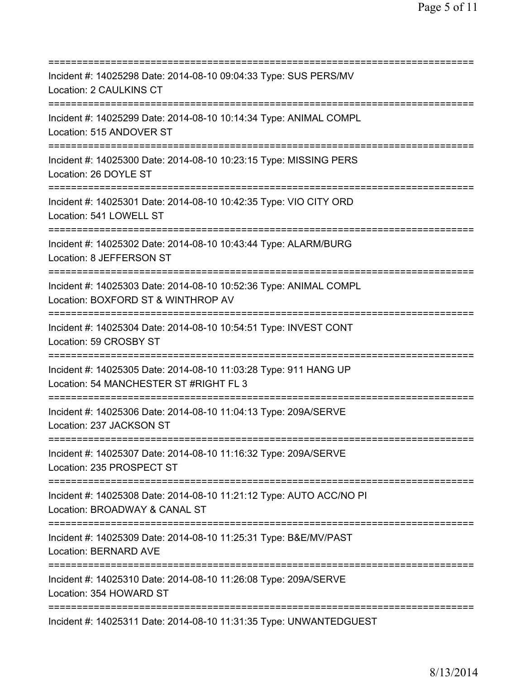=========================================================================== Incident #: 14025298 Date: 2014-08-10 09:04:33 Type: SUS PERS/MV Location: 2 CAULKINS CT =========================================================================== Incident #: 14025299 Date: 2014-08-10 10:14:34 Type: ANIMAL COMPL Location: 515 ANDOVER ST =========================================================================== Incident #: 14025300 Date: 2014-08-10 10:23:15 Type: MISSING PERS Location: 26 DOYLE ST =========================================================================== Incident #: 14025301 Date: 2014-08-10 10:42:35 Type: VIO CITY ORD Location: 541 LOWELL ST =========================================================================== Incident #: 14025302 Date: 2014-08-10 10:43:44 Type: ALARM/BURG Location: 8 JEFFERSON ST =========================================================================== Incident #: 14025303 Date: 2014-08-10 10:52:36 Type: ANIMAL COMPL Location: BOXFORD ST & WINTHROP AV =========================================================================== Incident #: 14025304 Date: 2014-08-10 10:54:51 Type: INVEST CONT Location: 59 CROSBY ST =========================================================================== Incident #: 14025305 Date: 2014-08-10 11:03:28 Type: 911 HANG UP Location: 54 MANCHESTER ST #RIGHT FL 3 =========================================================================== Incident #: 14025306 Date: 2014-08-10 11:04:13 Type: 209A/SERVE Location: 237 JACKSON ST =========================================================================== Incident #: 14025307 Date: 2014-08-10 11:16:32 Type: 209A/SERVE Location: 235 PROSPECT ST =========================================================================== Incident #: 14025308 Date: 2014-08-10 11:21:12 Type: AUTO ACC/NO PI Location: BROADWAY & CANAL ST =========================================================================== Incident #: 14025309 Date: 2014-08-10 11:25:31 Type: B&E/MV/PAST Location: BERNARD AVE =========================================================================== Incident #: 14025310 Date: 2014-08-10 11:26:08 Type: 209A/SERVE Location: 354 HOWARD ST =========================================================================== Incident #: 14025311 Date: 2014-08-10 11:31:35 Type: UNWANTEDGUEST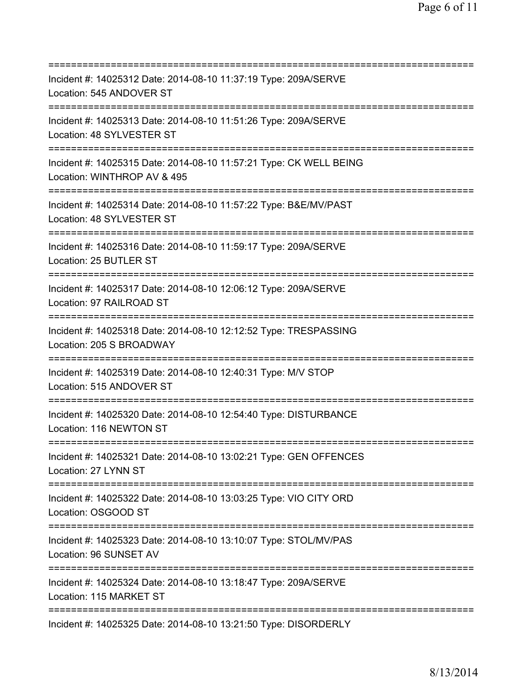| Incident #: 14025312 Date: 2014-08-10 11:37:19 Type: 209A/SERVE<br>Location: 545 ANDOVER ST<br>===================               |
|----------------------------------------------------------------------------------------------------------------------------------|
| Incident #: 14025313 Date: 2014-08-10 11:51:26 Type: 209A/SERVE<br>Location: 48 SYLVESTER ST                                     |
| Incident #: 14025315 Date: 2014-08-10 11:57:21 Type: CK WELL BEING<br>Location: WINTHROP AV & 495                                |
| Incident #: 14025314 Date: 2014-08-10 11:57:22 Type: B&E/MV/PAST<br>Location: 48 SYLVESTER ST                                    |
| Incident #: 14025316 Date: 2014-08-10 11:59:17 Type: 209A/SERVE<br>Location: 25 BUTLER ST                                        |
| Incident #: 14025317 Date: 2014-08-10 12:06:12 Type: 209A/SERVE<br>Location: 97 RAILROAD ST<br>================================  |
| Incident #: 14025318 Date: 2014-08-10 12:12:52 Type: TRESPASSING<br>Location: 205 S BROADWAY<br>================================ |
| Incident #: 14025319 Date: 2014-08-10 12:40:31 Type: M/V STOP<br>Location: 515 ANDOVER ST                                        |
| Incident #: 14025320 Date: 2014-08-10 12:54:40 Type: DISTURBANCE<br>Location: 116 NEWTON ST                                      |
| Incident #: 14025321 Date: 2014-08-10 13:02:21 Type: GEN OFFENCES<br>Location: 27 LYNN ST                                        |
| Incident #: 14025322 Date: 2014-08-10 13:03:25 Type: VIO CITY ORD<br>Location: OSGOOD ST                                         |
| ;=========================<br>Incident #: 14025323 Date: 2014-08-10 13:10:07 Type: STOL/MV/PAS<br>Location: 96 SUNSET AV         |
| Incident #: 14025324 Date: 2014-08-10 13:18:47 Type: 209A/SERVE<br>Location: 115 MARKET ST                                       |
| Incident #: 14025325 Date: 2014-08-10 13:21:50 Type: DISORDERLY                                                                  |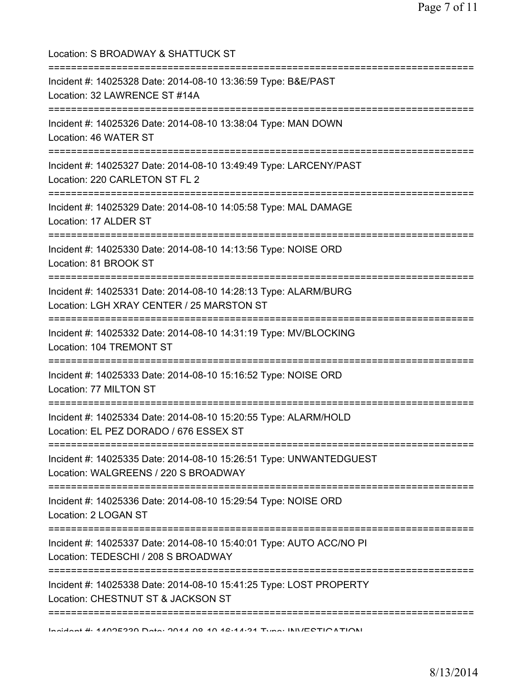Location: S BROADWAY & SHATTUCK ST =========================================================================== Incident #: 14025328 Date: 2014-08-10 13:36:59 Type: B&E/PAST Location: 32 LAWRENCE ST #14A =========================================================================== Incident #: 14025326 Date: 2014-08-10 13:38:04 Type: MAN DOWN Location: 46 WATER ST =========================================================================== Incident #: 14025327 Date: 2014-08-10 13:49:49 Type: LARCENY/PAST Location: 220 CARLETON ST FL 2 =========================================================================== Incident #: 14025329 Date: 2014-08-10 14:05:58 Type: MAL DAMAGE Location: 17 ALDER ST =========================================================================== Incident #: 14025330 Date: 2014-08-10 14:13:56 Type: NOISE ORD Location: 81 BROOK ST =========================================================================== Incident #: 14025331 Date: 2014-08-10 14:28:13 Type: ALARM/BURG Location: LGH XRAY CENTER / 25 MARSTON ST =========================================================================== Incident #: 14025332 Date: 2014-08-10 14:31:19 Type: MV/BLOCKING Location: 104 TREMONT ST =========================================================================== Incident #: 14025333 Date: 2014-08-10 15:16:52 Type: NOISE ORD Location: 77 MILTON ST =========================================================================== Incident #: 14025334 Date: 2014-08-10 15:20:55 Type: ALARM/HOLD Location: EL PEZ DORADO / 676 ESSEX ST =========================================================================== Incident #: 14025335 Date: 2014-08-10 15:26:51 Type: UNWANTEDGUEST Location: WALGREENS / 220 S BROADWAY =========================================================================== Incident #: 14025336 Date: 2014-08-10 15:29:54 Type: NOISE ORD Location: 2 LOGAN ST =========================================================================== Incident #: 14025337 Date: 2014-08-10 15:40:01 Type: AUTO ACC/NO PI Location: TEDESCHI / 208 S BROADWAY =========================================================================== Incident #: 14025338 Date: 2014-08-10 15:41:25 Type: LOST PROPERTY Location: CHESTNUT ST & JACKSON ST ===========================================================================

Incident #: 14025339 Date: 2014 08 10 16:14:31 Type: INVESTIGATION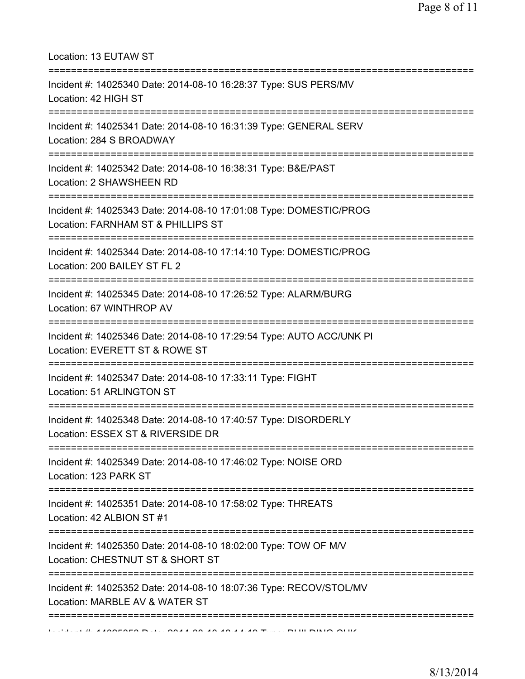Location: 13 EUTAW ST

| Incident #: 14025340 Date: 2014-08-10 16:28:37 Type: SUS PERS/MV<br>Location: 42 HIGH ST                 |
|----------------------------------------------------------------------------------------------------------|
| Incident #: 14025341 Date: 2014-08-10 16:31:39 Type: GENERAL SERV<br>Location: 284 S BROADWAY            |
| Incident #: 14025342 Date: 2014-08-10 16:38:31 Type: B&E/PAST<br>Location: 2 SHAWSHEEN RD                |
| Incident #: 14025343 Date: 2014-08-10 17:01:08 Type: DOMESTIC/PROG<br>Location: FARNHAM ST & PHILLIPS ST |
| Incident #: 14025344 Date: 2014-08-10 17:14:10 Type: DOMESTIC/PROG<br>Location: 200 BAILEY ST FL 2       |
| Incident #: 14025345 Date: 2014-08-10 17:26:52 Type: ALARM/BURG<br>Location: 67 WINTHROP AV              |
| Incident #: 14025346 Date: 2014-08-10 17:29:54 Type: AUTO ACC/UNK PI<br>Location: EVERETT ST & ROWE ST   |
| Incident #: 14025347 Date: 2014-08-10 17:33:11 Type: FIGHT<br>Location: 51 ARLINGTON ST                  |
| Incident #: 14025348 Date: 2014-08-10 17:40:57 Type: DISORDERLY<br>Location: ESSEX ST & RIVERSIDE DR     |
| Incident #: 14025349 Date: 2014-08-10 17:46:02 Type: NOISE ORD<br>Location: 123 PARK ST                  |
| Incident #: 14025351 Date: 2014-08-10 17:58:02 Type: THREATS<br>Location: 42 ALBION ST #1                |
| Incident #: 14025350 Date: 2014-08-10 18:02:00 Type: TOW OF M/V<br>Location: CHESTNUT ST & SHORT ST      |
| Incident #: 14025352 Date: 2014-08-10 18:07:36 Type: RECOV/STOL/MV<br>Location: MARBLE AV & WATER ST     |
| <b>ILLULLUL A ANGEGEO DULLI ONA A DOLA ANIA A DELL'INI DI DI DI OLIUN</b>                                |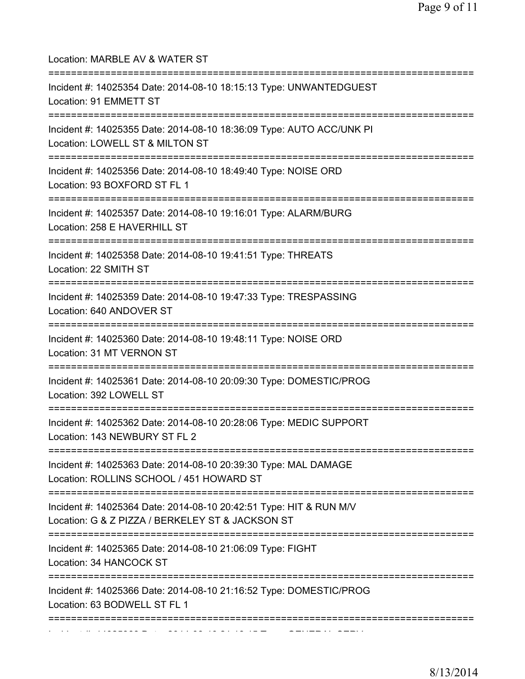| Location: MARBLE AV & WATER ST<br>====================================                                                            |
|-----------------------------------------------------------------------------------------------------------------------------------|
| Incident #: 14025354 Date: 2014-08-10 18:15:13 Type: UNWANTEDGUEST<br>Location: 91 EMMETT ST<br>================================= |
| Incident #: 14025355 Date: 2014-08-10 18:36:09 Type: AUTO ACC/UNK PI<br>Location: LOWELL ST & MILTON ST                           |
| Incident #: 14025356 Date: 2014-08-10 18:49:40 Type: NOISE ORD<br>Location: 93 BOXFORD ST FL 1                                    |
| Incident #: 14025357 Date: 2014-08-10 19:16:01 Type: ALARM/BURG<br>Location: 258 E HAVERHILL ST                                   |
| Incident #: 14025358 Date: 2014-08-10 19:41:51 Type: THREATS<br>Location: 22 SMITH ST                                             |
| Incident #: 14025359 Date: 2014-08-10 19:47:33 Type: TRESPASSING<br>Location: 640 ANDOVER ST                                      |
| Incident #: 14025360 Date: 2014-08-10 19:48:11 Type: NOISE ORD<br>Location: 31 MT VERNON ST                                       |
| Incident #: 14025361 Date: 2014-08-10 20:09:30 Type: DOMESTIC/PROG<br>Location: 392 LOWELL ST                                     |
| Incident #: 14025362 Date: 2014-08-10 20:28:06 Type: MEDIC SUPPORT<br>Location: 143 NEWBURY ST FL 2                               |
| Incident #: 14025363 Date: 2014-08-10 20:39:30 Type: MAL DAMAGE<br>Location: ROLLINS SCHOOL / 451 HOWARD ST                       |
| Incident #: 14025364 Date: 2014-08-10 20:42:51 Type: HIT & RUN M/V<br>Location: G & Z PIZZA / BERKELEY ST & JACKSON ST            |
| Incident #: 14025365 Date: 2014-08-10 21:06:09 Type: FIGHT<br>Location: 34 HANCOCK ST                                             |
| Incident #: 14025366 Date: 2014-08-10 21:16:52 Type: DOMESTIC/PROG<br>Location: 63 BODWELL ST FL 1                                |
|                                                                                                                                   |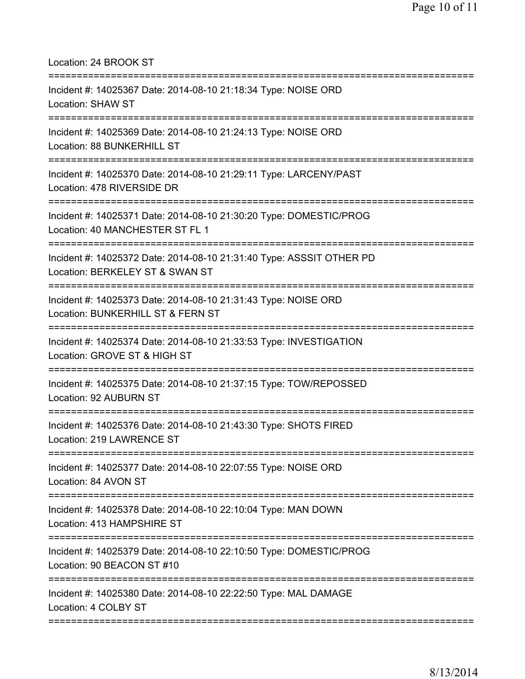Location: 24 BROOK ST

| Incident #: 14025367 Date: 2014-08-10 21:18:34 Type: NOISE ORD<br>Location: SHAW ST                     |
|---------------------------------------------------------------------------------------------------------|
| Incident #: 14025369 Date: 2014-08-10 21:24:13 Type: NOISE ORD<br>Location: 88 BUNKERHILL ST            |
| Incident #: 14025370 Date: 2014-08-10 21:29:11 Type: LARCENY/PAST<br>Location: 478 RIVERSIDE DR         |
| Incident #: 14025371 Date: 2014-08-10 21:30:20 Type: DOMESTIC/PROG<br>Location: 40 MANCHESTER ST FL 1   |
| Incident #: 14025372 Date: 2014-08-10 21:31:40 Type: ASSSIT OTHER PD<br>Location: BERKELEY ST & SWAN ST |
| Incident #: 14025373 Date: 2014-08-10 21:31:43 Type: NOISE ORD<br>Location: BUNKERHILL ST & FERN ST     |
| Incident #: 14025374 Date: 2014-08-10 21:33:53 Type: INVESTIGATION<br>Location: GROVE ST & HIGH ST      |
| Incident #: 14025375 Date: 2014-08-10 21:37:15 Type: TOW/REPOSSED<br>Location: 92 AUBURN ST             |
| Incident #: 14025376 Date: 2014-08-10 21:43:30 Type: SHOTS FIRED<br>Location: 219 LAWRENCE ST           |
| Incident #: 14025377 Date: 2014-08-10 22:07:55 Type: NOISE ORD<br>Location: 84 AVON ST                  |
| Incident #: 14025378 Date: 2014-08-10 22:10:04 Type: MAN DOWN<br>Location: 413 HAMPSHIRE ST             |
| Incident #: 14025379 Date: 2014-08-10 22:10:50 Type: DOMESTIC/PROG<br>Location: 90 BEACON ST #10        |
| Incident #: 14025380 Date: 2014-08-10 22:22:50 Type: MAL DAMAGE<br>Location: 4 COLBY ST                 |
|                                                                                                         |